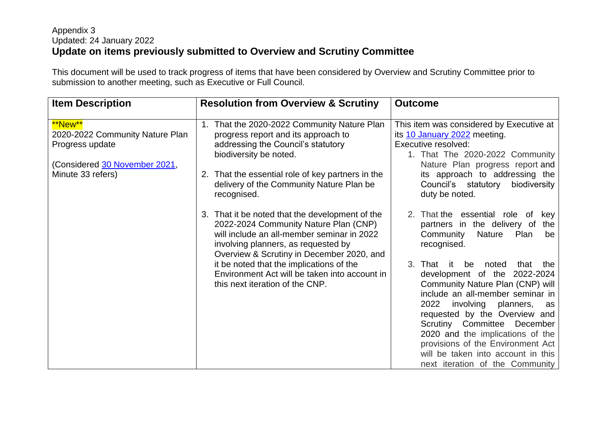## Appendix 3 Updated: 24 January 2022 **Update on items previously submitted to Overview and Scrutiny Committee**

This document will be used to track progress of items that have been considered by Overview and Scrutiny Committee prior to submission to another meeting, such as Executive or Full Council.

| <b>Item Description</b>                                       | <b>Resolution from Overview &amp; Scrutiny</b>                                                                                                                                                                             | <b>Outcome</b>                                                                                                                                                                                  |
|---------------------------------------------------------------|----------------------------------------------------------------------------------------------------------------------------------------------------------------------------------------------------------------------------|-------------------------------------------------------------------------------------------------------------------------------------------------------------------------------------------------|
| **New**<br>2020-2022 Community Nature Plan<br>Progress update | 1. That the 2020-2022 Community Nature Plan<br>progress report and its approach to<br>addressing the Council's statutory<br>biodiversity be noted.                                                                         | This item was considered by Executive at<br>its 10 January 2022 meeting.<br>Executive resolved:<br>1. That The 2020-2022 Community                                                              |
| (Considered <u>30 November 2021</u> ,<br>Minute 33 refers)    | 2. That the essential role of key partners in the<br>delivery of the Community Nature Plan be<br>recognised.                                                                                                               | Nature Plan progress report and<br>its approach to addressing the<br>Council's statutory<br>biodiversity<br>duty be noted.                                                                      |
|                                                               | 3. That it be noted that the development of the<br>2022-2024 Community Nature Plan (CNP)<br>will include an all-member seminar in 2022<br>involving planners, as requested by<br>Overview & Scrutiny in December 2020, and | 2. That the essential role of<br>key<br>partners in the delivery of<br>the<br>Community<br><b>Nature</b><br>Plan<br>be<br>recognised.                                                           |
|                                                               | it be noted that the implications of the<br>Environment Act will be taken into account in<br>this next iteration of the CNP.                                                                                               | 3.<br>That<br>it.<br>be<br>noted<br>that<br>the<br>development of the 2022-2024<br>Community Nature Plan (CNP) will<br>include an all-member seminar in<br>2022<br>involving<br>planners,<br>as |
|                                                               |                                                                                                                                                                                                                            | requested by the Overview and<br>Scrutiny Committee December<br>2020 and the implications of the<br>provisions of the Environment Act                                                           |
|                                                               |                                                                                                                                                                                                                            | will be taken into account in this<br>next iteration of the Community                                                                                                                           |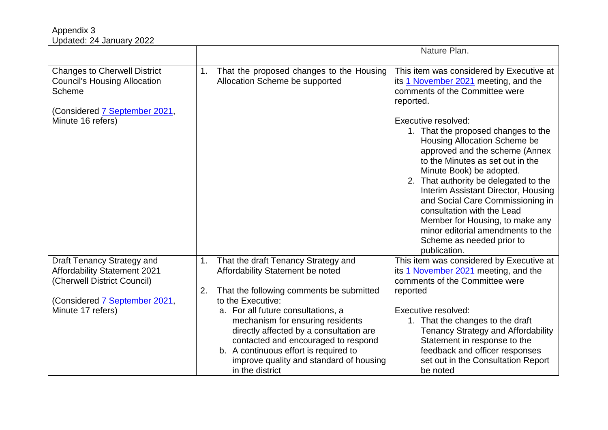|                                                                    |    |                                          | Nature Plan.                                                           |
|--------------------------------------------------------------------|----|------------------------------------------|------------------------------------------------------------------------|
|                                                                    |    |                                          |                                                                        |
| <b>Changes to Cherwell District</b>                                | 1. | That the proposed changes to the Housing | This item was considered by Executive at                               |
| <b>Council's Housing Allocation</b>                                |    | Allocation Scheme be supported           | its 1 November 2021 meeting, and the                                   |
| <b>Scheme</b>                                                      |    |                                          | comments of the Committee were                                         |
|                                                                    |    |                                          | reported.                                                              |
| (Considered 7 September 2021,                                      |    |                                          |                                                                        |
| Minute 16 refers)                                                  |    |                                          | Executive resolved:<br>1. That the proposed changes to the             |
|                                                                    |    |                                          | Housing Allocation Scheme be                                           |
|                                                                    |    |                                          | approved and the scheme (Annex                                         |
|                                                                    |    |                                          | to the Minutes as set out in the                                       |
|                                                                    |    |                                          | Minute Book) be adopted.                                               |
|                                                                    |    |                                          | 2. That authority be delegated to the                                  |
|                                                                    |    |                                          | Interim Assistant Director, Housing                                    |
|                                                                    |    |                                          | and Social Care Commissioning in                                       |
|                                                                    |    |                                          | consultation with the Lead                                             |
|                                                                    |    |                                          | Member for Housing, to make any                                        |
|                                                                    |    |                                          | minor editorial amendments to the                                      |
|                                                                    |    |                                          | Scheme as needed prior to                                              |
|                                                                    |    |                                          | publication.                                                           |
| <b>Draft Tenancy Strategy and</b>                                  | 1. | That the draft Tenancy Strategy and      | This item was considered by Executive at                               |
| <b>Affordability Statement 2021</b><br>(Cherwell District Council) |    | Affordability Statement be noted         | its 1 November 2021 meeting, and the<br>comments of the Committee were |
|                                                                    | 2. | That the following comments be submitted | reported                                                               |
| (Considered 7 September 2021,                                      |    | to the Executive:                        |                                                                        |
| Minute 17 refers)                                                  |    | a. For all future consultations, a       | Executive resolved:                                                    |
|                                                                    |    | mechanism for ensuring residents         | 1. That the changes to the draft                                       |
|                                                                    |    | directly affected by a consultation are  | <b>Tenancy Strategy and Affordability</b>                              |
|                                                                    |    | contacted and encouraged to respond      | Statement in response to the                                           |
|                                                                    |    | b. A continuous effort is required to    | feedback and officer responses                                         |
|                                                                    |    | improve quality and standard of housing  | set out in the Consultation Report                                     |
|                                                                    |    | in the district                          | be noted                                                               |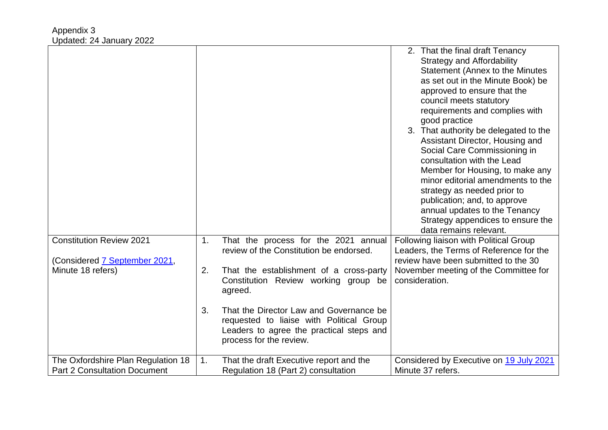| <b>Constitution Review 2021</b><br>(Considered 7 September 2021,<br>Minute 18 refers) | 1.<br>2.<br>3. | That the process for the 2021 annual<br>review of the Constitution be endorsed.<br>That the establishment of a cross-party<br>Constitution Review working group be<br>agreed.<br>That the Director Law and Governance be<br>requested to liaise with Political Group<br>Leaders to agree the practical steps and<br>process for the review. | 2. That the final draft Tenancy<br><b>Strategy and Affordability</b><br><b>Statement (Annex to the Minutes)</b><br>as set out in the Minute Book) be<br>approved to ensure that the<br>council meets statutory<br>requirements and complies with<br>good practice<br>3. That authority be delegated to the<br>Assistant Director, Housing and<br>Social Care Commissioning in<br>consultation with the Lead<br>Member for Housing, to make any<br>minor editorial amendments to the<br>strategy as needed prior to<br>publication; and, to approve<br>annual updates to the Tenancy<br>Strategy appendices to ensure the<br>data remains relevant.<br>Following liaison with Political Group<br>Leaders, the Terms of Reference for the<br>review have been submitted to the 30<br>November meeting of the Committee for<br>consideration. |
|---------------------------------------------------------------------------------------|----------------|---------------------------------------------------------------------------------------------------------------------------------------------------------------------------------------------------------------------------------------------------------------------------------------------------------------------------------------------|--------------------------------------------------------------------------------------------------------------------------------------------------------------------------------------------------------------------------------------------------------------------------------------------------------------------------------------------------------------------------------------------------------------------------------------------------------------------------------------------------------------------------------------------------------------------------------------------------------------------------------------------------------------------------------------------------------------------------------------------------------------------------------------------------------------------------------------------|
| The Oxfordshire Plan Regulation 18                                                    | 1.             | That the draft Executive report and the                                                                                                                                                                                                                                                                                                     | Considered by Executive on 19 July 2021                                                                                                                                                                                                                                                                                                                                                                                                                                                                                                                                                                                                                                                                                                                                                                                                    |
| <b>Part 2 Consultation Document</b>                                                   |                | Regulation 18 (Part 2) consultation                                                                                                                                                                                                                                                                                                         | Minute 37 refers.                                                                                                                                                                                                                                                                                                                                                                                                                                                                                                                                                                                                                                                                                                                                                                                                                          |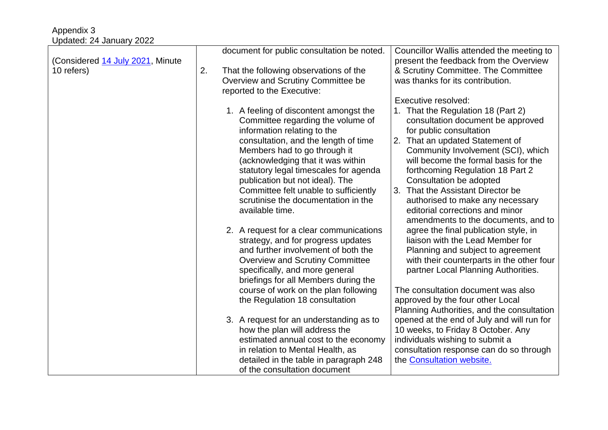| Opualtu. 27 January 2022         |    |                                            |                                            |
|----------------------------------|----|--------------------------------------------|--------------------------------------------|
|                                  |    | document for public consultation be noted. | Councillor Wallis attended the meeting to  |
| (Considered 14 July 2021, Minute |    |                                            | present the feedback from the Overview     |
| 10 refers)                       | 2. | That the following observations of the     | & Scrutiny Committee. The Committee        |
|                                  |    | Overview and Scrutiny Committee be         | was thanks for its contribution.           |
|                                  |    | reported to the Executive:                 |                                            |
|                                  |    |                                            | Executive resolved:                        |
|                                  |    |                                            |                                            |
|                                  |    | 1. A feeling of discontent amongst the     | That the Regulation 18 (Part 2)<br>1.      |
|                                  |    | Committee regarding the volume of          | consultation document be approved          |
|                                  |    | information relating to the                | for public consultation                    |
|                                  |    | consultation, and the length of time       | 2. That an updated Statement of            |
|                                  |    | Members had to go through it               | Community Involvement (SCI), which         |
|                                  |    | (acknowledging that it was within          | will become the formal basis for the       |
|                                  |    |                                            |                                            |
|                                  |    | statutory legal timescales for agenda      | forthcoming Regulation 18 Part 2           |
|                                  |    | publication but not ideal). The            | Consultation be adopted                    |
|                                  |    | Committee felt unable to sufficiently      | That the Assistant Director be<br>3.       |
|                                  |    | scrutinise the documentation in the        | authorised to make any necessary           |
|                                  |    | available time.                            | editorial corrections and minor            |
|                                  |    |                                            | amendments to the documents, and to        |
|                                  |    | 2. A request for a clear communications    | agree the final publication style, in      |
|                                  |    |                                            | liaison with the Lead Member for           |
|                                  |    | strategy, and for progress updates         |                                            |
|                                  |    | and further involvement of both the        | Planning and subject to agreement          |
|                                  |    | <b>Overview and Scrutiny Committee</b>     | with their counterparts in the other four  |
|                                  |    | specifically, and more general             | partner Local Planning Authorities.        |
|                                  |    | briefings for all Members during the       |                                            |
|                                  |    | course of work on the plan following       | The consultation document was also         |
|                                  |    | the Regulation 18 consultation             | approved by the four other Local           |
|                                  |    |                                            |                                            |
|                                  |    |                                            | Planning Authorities, and the consultation |
|                                  |    | 3. A request for an understanding as to    | opened at the end of July and will run for |
|                                  |    | how the plan will address the              | 10 weeks, to Friday 8 October. Any         |
|                                  |    | estimated annual cost to the economy       | individuals wishing to submit a            |
|                                  |    | in relation to Mental Health, as           | consultation response can do so through    |
|                                  |    | detailed in the table in paragraph 248     | the Consultation website.                  |
|                                  |    |                                            |                                            |
|                                  |    | of the consultation document               |                                            |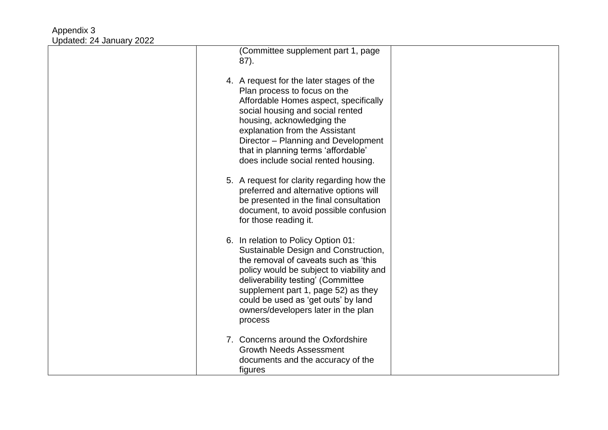| (Committee supplement part 1, page<br>87).                                                                                                                                                                                                                                                                                                 |  |
|--------------------------------------------------------------------------------------------------------------------------------------------------------------------------------------------------------------------------------------------------------------------------------------------------------------------------------------------|--|
| 4. A request for the later stages of the<br>Plan process to focus on the<br>Affordable Homes aspect, specifically<br>social housing and social rented<br>housing, acknowledging the<br>explanation from the Assistant<br>Director - Planning and Development<br>that in planning terms 'affordable'<br>does include social rented housing. |  |
| 5. A request for clarity regarding how the<br>preferred and alternative options will<br>be presented in the final consultation<br>document, to avoid possible confusion<br>for those reading it.                                                                                                                                           |  |
| 6. In relation to Policy Option 01:<br>Sustainable Design and Construction,<br>the removal of caveats such as 'this<br>policy would be subject to viability and<br>deliverability testing' (Committee<br>supplement part 1, page 52) as they<br>could be used as 'get outs' by land<br>owners/developers later in the plan<br>process      |  |
| 7. Concerns around the Oxfordshire<br><b>Growth Needs Assessment</b><br>documents and the accuracy of the<br>figures                                                                                                                                                                                                                       |  |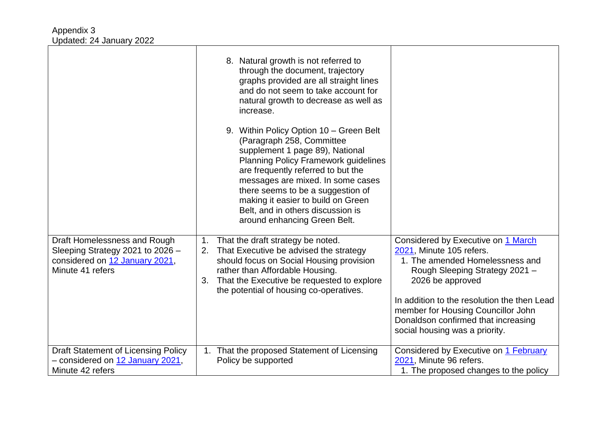|                                                                                                                        | 8. Natural growth is not referred to<br>through the document, trajectory<br>graphs provided are all straight lines<br>and do not seem to take account for<br>natural growth to decrease as well as<br>increase.                                                                                                                                                                   |                                                                                                                                                                                                                                                                                                                       |
|------------------------------------------------------------------------------------------------------------------------|-----------------------------------------------------------------------------------------------------------------------------------------------------------------------------------------------------------------------------------------------------------------------------------------------------------------------------------------------------------------------------------|-----------------------------------------------------------------------------------------------------------------------------------------------------------------------------------------------------------------------------------------------------------------------------------------------------------------------|
|                                                                                                                        | 9. Within Policy Option 10 – Green Belt<br>(Paragraph 258, Committee<br>supplement 1 page 89), National<br><b>Planning Policy Framework guidelines</b><br>are frequently referred to but the<br>messages are mixed. In some cases<br>there seems to be a suggestion of<br>making it easier to build on Green<br>Belt, and in others discussion is<br>around enhancing Green Belt. |                                                                                                                                                                                                                                                                                                                       |
| Draft Homelessness and Rough<br>Sleeping Strategy 2021 to 2026 -<br>considered on 12 January 2021,<br>Minute 41 refers | That the draft strategy be noted.<br>1.<br>That Executive be advised the strategy<br>2.<br>should focus on Social Housing provision<br>rather than Affordable Housing.<br>That the Executive be requested to explore<br>3.<br>the potential of housing co-operatives.                                                                                                             | Considered by Executive on 1 March<br>2021, Minute 105 refers.<br>1. The amended Homelessness and<br>Rough Sleeping Strategy 2021 -<br>2026 be approved<br>In addition to the resolution the then Lead<br>member for Housing Councillor John<br>Donaldson confirmed that increasing<br>social housing was a priority. |
| Draft Statement of Licensing Policy<br>- considered on 12 January 2021,<br>Minute 42 refers                            | That the proposed Statement of Licensing<br>1.<br>Policy be supported                                                                                                                                                                                                                                                                                                             | Considered by Executive on 1 February<br>2021, Minute 96 refers.<br>1. The proposed changes to the policy                                                                                                                                                                                                             |